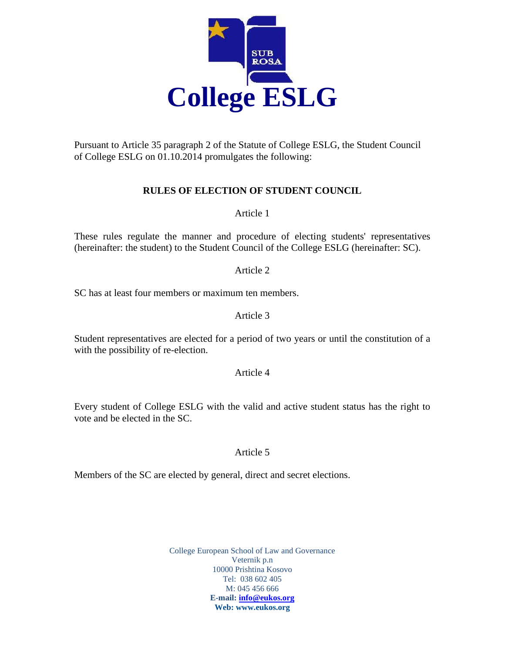

Pursuant to Article 35 paragraph 2 of the Statute of College ESLG, the Student Council of College ESLG on 01.10.2014 promulgates the following:

# **RULES OF ELECTION OF STUDENT COUNCIL**

Article 1

These rules regulate the manner and procedure of electing students' representatives (hereinafter: the student) to the Student Council of the College ESLG (hereinafter: SC).

Article 2

SC has at least four members or maximum ten members.

## Article 3

Student representatives are elected for a period of two years or until the constitution of a with the possibility of re-election.

#### Article 4

Every student of College ESLG with the valid and active student status has the right to vote and be elected in the SC.

#### Article 5

Members of the SC are elected by general, direct and secret elections.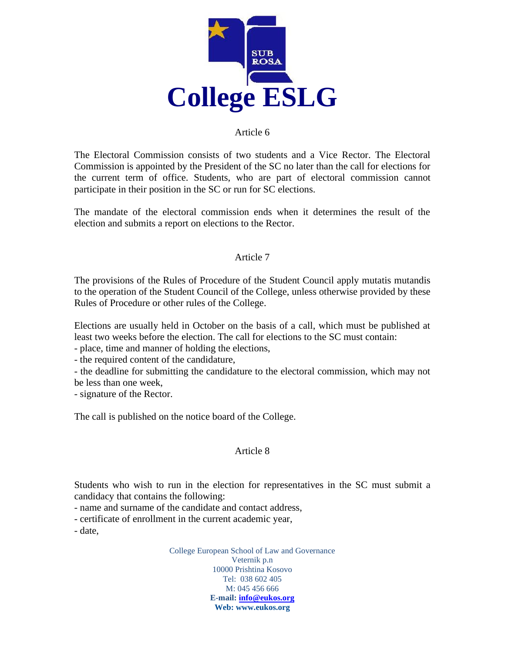

#### Article 6

The Electoral Commission consists of two students and a Vice Rector. The Electoral Commission is appointed by the President of the SC no later than the call for elections for the current term of office. Students, who are part of electoral commission cannot participate in their position in the SC or run for SC elections.

The mandate of the electoral commission ends when it determines the result of the election and submits a report on elections to the Rector.

#### Article 7

The provisions of the Rules of Procedure of the Student Council apply mutatis mutandis to the operation of the Student Council of the College, unless otherwise provided by these Rules of Procedure or other rules of the College.

Elections are usually held in October on the basis of a call, which must be published at least two weeks before the election. The call for elections to the SC must contain:

- place, time and manner of holding the elections,

- the required content of the candidature,

- the deadline for submitting the candidature to the electoral commission, which may not be less than one week,

- signature of the Rector.

The call is published on the notice board of the College.

#### Article 8

Students who wish to run in the election for representatives in the SC must submit a candidacy that contains the following:

- name and surname of the candidate and contact address,

- certificate of enrollment in the current academic year,

- date,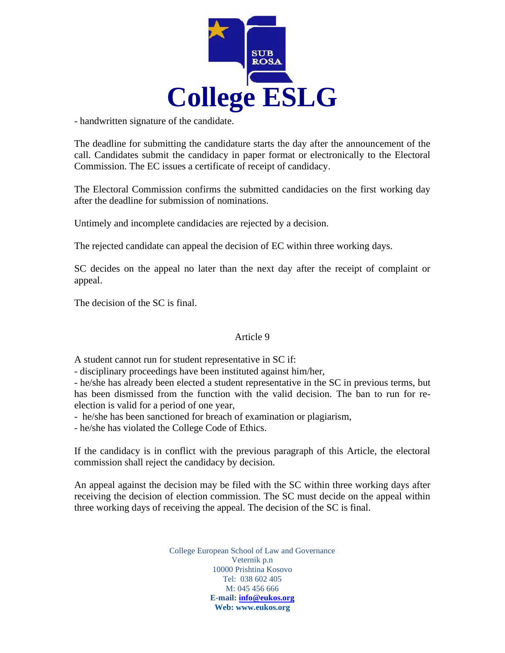

- handwritten signature of the candidate.

The deadline for submitting the candidature starts the day after the announcement of the call. Candidates submit the candidacy in paper format or electronically to the Electoral Commission. The EC issues a certificate of receipt of candidacy.

The Electoral Commission confirms the submitted candidacies on the first working day after the deadline for submission of nominations.

Untimely and incomplete candidacies are rejected by a decision.

The rejected candidate can appeal the decision of EC within three working days.

SC decides on the appeal no later than the next day after the receipt of complaint or appeal.

The decision of the SC is final.

## Article 9

A student cannot run for student representative in SC if:

- disciplinary proceedings have been instituted against him/her,

- he/she has already been elected a student representative in the SC in previous terms, but has been dismissed from the function with the valid decision. The ban to run for reelection is valid for a period of one year,

- he/she has been sanctioned for breach of examination or plagiarism,

- he/she has violated the College Code of Ethics.

If the candidacy is in conflict with the previous paragraph of this Article, the electoral commission shall reject the candidacy by decision.

An appeal against the decision may be filed with the SC within three working days after receiving the decision of election commission. The SC must decide on the appeal within three working days of receiving the appeal. The decision of the SC is final.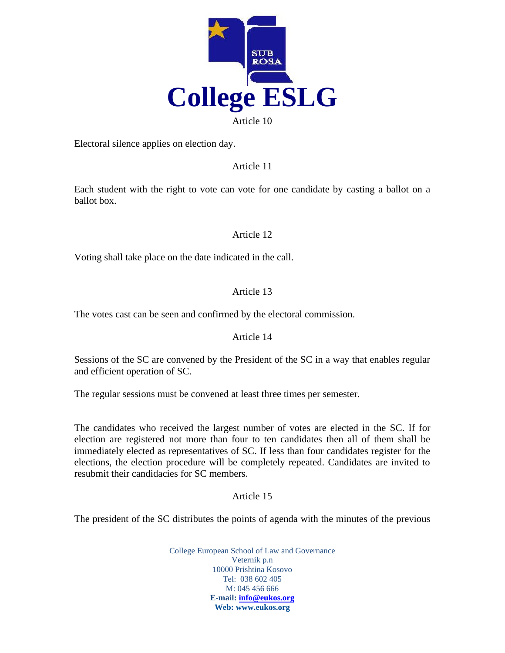

Electoral silence applies on election day.

Article 11

Each student with the right to vote can vote for one candidate by casting a ballot on a ballot box.

Article 12

Voting shall take place on the date indicated in the call.

# Article 13

The votes cast can be seen and confirmed by the electoral commission.

## Article 14

Sessions of the SC are convened by the President of the SC in a way that enables regular and efficient operation of SC.

The regular sessions must be convened at least three times per semester.

The candidates who received the largest number of votes are elected in the SC. If for election are registered not more than four to ten candidates then all of them shall be immediately elected as representatives of SC. If less than four candidates register for the elections, the election procedure will be completely repeated. Candidates are invited to resubmit their candidacies for SC members.

## Article 15

The president of the SC distributes the points of agenda with the minutes of the previous